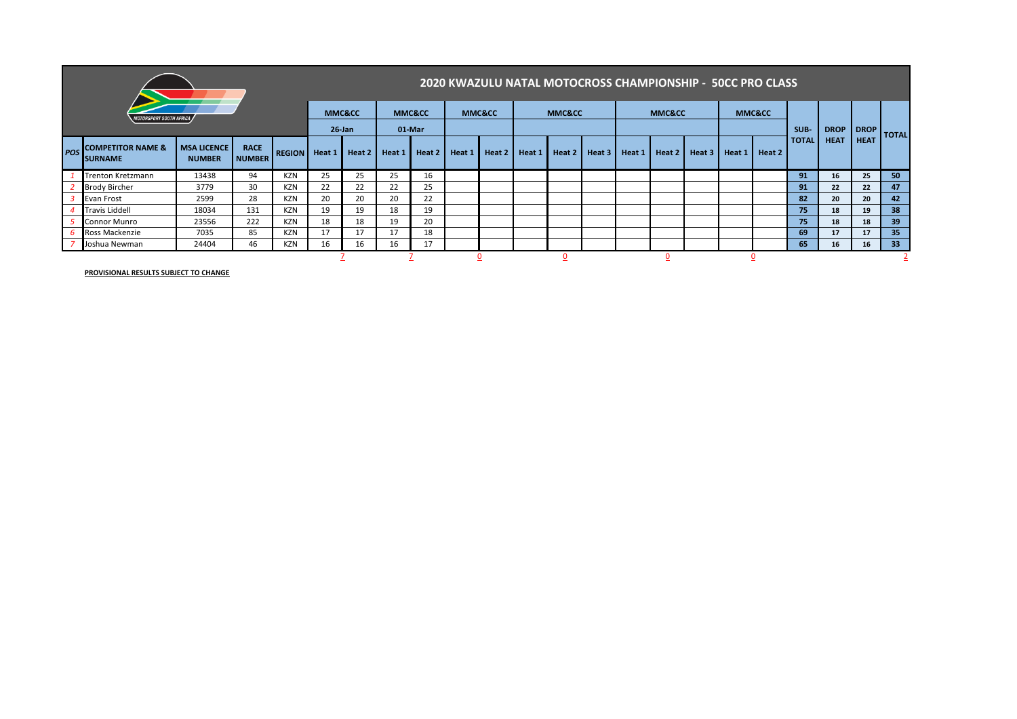|                                |                                                  |                                     |                              |               |        |                   |        |                   |        |                   |        | 2020 KWAZULU NATAL MOTOCROSS CHAMPIONSHIP - 50CC PRO CLASS |        |        |                   |        |        |                   |              |             |             |              |
|--------------------------------|--------------------------------------------------|-------------------------------------|------------------------------|---------------|--------|-------------------|--------|-------------------|--------|-------------------|--------|------------------------------------------------------------|--------|--------|-------------------|--------|--------|-------------------|--------------|-------------|-------------|--------------|
| <b>MOTORSPORT SOUTH AFRICA</b> |                                                  |                                     |                              |               |        | <b>MMC&amp;CC</b> |        | <b>MMC&amp;CC</b> |        | <b>MMC&amp;CC</b> |        | <b>MMC&amp;CC</b>                                          |        |        | <b>MMC&amp;CC</b> |        |        | <b>MMC&amp;CC</b> |              |             |             |              |
|                                |                                                  |                                     |                              |               |        | $26$ -Jan         | 01-Mar |                   |        |                   |        |                                                            |        |        |                   |        |        |                   | SUB-         | <b>DROP</b> | <b>DROP</b> | <b>TOTAL</b> |
| <b>POS</b>                     | <b>ICOMPETITOR NAME &amp;</b><br><b>ISURNAME</b> | <b>MSA LICENCE</b><br><b>NUMBER</b> | <b>RACE</b><br><b>NUMBER</b> | <b>REGION</b> | Heat 1 | Heat 2            | Heat 1 | Heat 2            | Heat 1 | Heat 2            | Heat 1 | Heat 2                                                     | Heat 3 | Heat 1 | Heat 2            | Heat 3 | Heat 1 | Heat 2            | <b>TOTAL</b> | <b>HEAT</b> | <b>HEAT</b> |              |
|                                | <b>Trenton Kretzmann</b>                         | 13438                               | 94                           | KZN           | 25     | 25                | 25     | 16                |        |                   |        |                                                            |        |        |                   |        |        |                   | 91           | 16          | 25          | 50           |
|                                | <b>Brody Bircher</b>                             | 3779                                | 30                           | KZN           | 22     | 22                | 22     | 25                |        |                   |        |                                                            |        |        |                   |        |        |                   | 91           | 22          | 22          | 47           |
|                                | Evan Frost                                       | 2599                                | 28                           | KZN           | 20     | 20                | 20     | 22                |        |                   |        |                                                            |        |        |                   |        |        |                   | 82           | 20          | 20          | 42           |
|                                | Travis Liddell                                   | 18034                               | 131                          | KZN           | 19     | 19                | 18     | 19                |        |                   |        |                                                            |        |        |                   |        |        |                   | 75           | 18          | 19          | 38           |
|                                | <b>Connor Munro</b>                              | 23556                               | 222                          | KZN           | 18     | 18                | 19     | 20                |        |                   |        |                                                            |        |        |                   |        |        |                   | 75           | 18          | 18          | 39           |
|                                | Ross Mackenzie                                   | 7035                                | 85                           | KZN           | 17     | 17                | 17     | 18                |        |                   |        |                                                            |        |        |                   |        |        |                   | 69           | 17          | 17          | 35           |
|                                | Joshua Newman                                    | 24404                               | 46                           | KZN           | 16     | 16                | 16     | 17                |        |                   |        |                                                            |        |        |                   |        |        |                   | 65           | 16          | 16          | 33           |
|                                |                                                  |                                     |                              |               |        |                   |        |                   |        |                   |        |                                                            |        |        |                   |        |        |                   |              |             |             |              |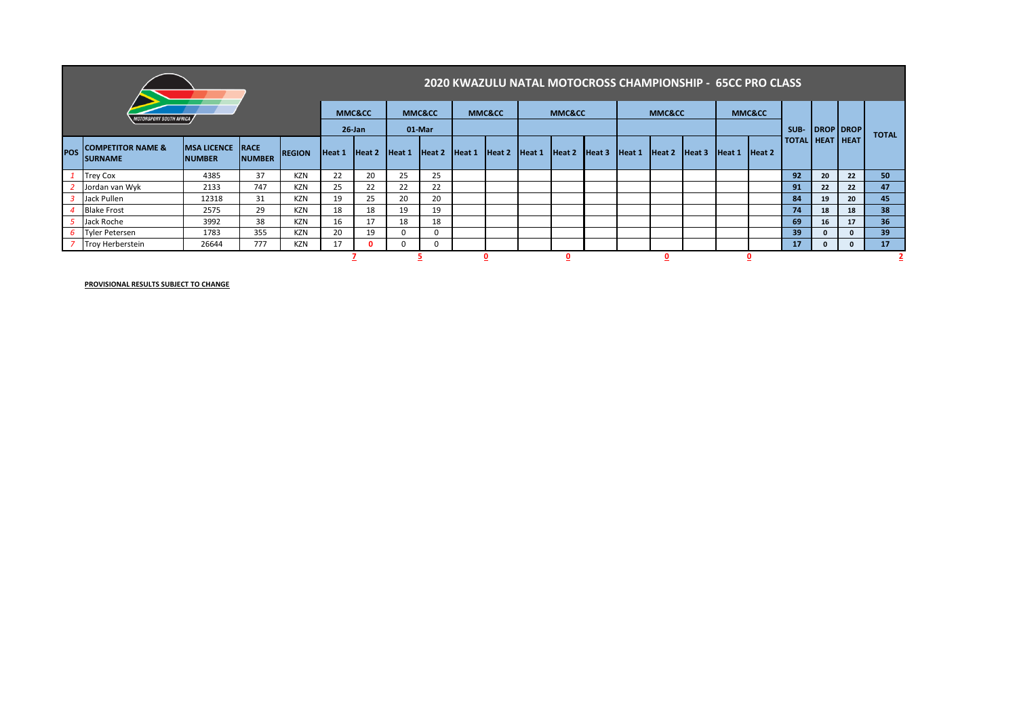|                                      |                                                |                                          |               |               |           |        |                   |                   |        |        |                   |        |        |        |        |        |        | 2020 KWAZULU NATAL MOTOCROSS CHAMPIONSHIP - 65CC PRO CLASS |                        |    |           |                 |
|--------------------------------------|------------------------------------------------|------------------------------------------|---------------|---------------|-----------|--------|-------------------|-------------------|--------|--------|-------------------|--------|--------|--------|--------|--------|--------|------------------------------------------------------------|------------------------|----|-----------|-----------------|
| <i><b>OTORSPORT SOUTH AFRICA</b></i> |                                                |                                          |               |               | MMC&CC    |        | <b>MMC&amp;CC</b> |                   | MMC&CC |        | <b>MMC&amp;CC</b> |        |        | MMC&CC |        |        | MMC&CC |                                                            |                        |    |           |                 |
|                                      |                                                |                                          |               |               | $26$ -Jan |        | 01-Mar            |                   |        |        |                   |        |        |        |        |        |        |                                                            | SUB-                   |    | DROP DROP | <b>TOTAL</b>    |
| <b>POS</b>                           | <b>COMPETITOR NAME &amp;</b><br><b>SURNAME</b> | <b>MSA LICENCE RACE</b><br><b>NUMBER</b> | <b>NUMBER</b> | <b>REGION</b> | Heat 1    | Heat 2 | Heat 1            | Heat <sub>2</sub> | Heat 1 | Heat 2 | Heat 1            | Heat 2 | Heat 3 | Heat 1 | Heat 2 | Heat 3 | Heat1  | Heat <sub>2</sub>                                          | <b>TOTAL HEAT HEAT</b> |    |           |                 |
|                                      | Trey Cox                                       | 4385                                     | 37            | <b>KZN</b>    | 22        | 20     | 25                | 25                |        |        |                   |        |        |        |        |        |        |                                                            | 92                     | 20 | 22        | 50              |
|                                      | Jordan van Wyk                                 | 2133                                     | 747           | <b>KZN</b>    | 25        | 22     | 22                | 22                |        |        |                   |        |        |        |        |        |        |                                                            | 91                     | 22 | 22        | 47              |
| $\overline{3}$                       | Jack Pullen                                    | 12318                                    | 31            | KZN           | 19        | 25     | 20                | 20                |        |        |                   |        |        |        |        |        |        |                                                            | 84                     | 19 | 20        | 45              |
|                                      | <b>Blake Frost</b>                             | 2575                                     | 29            | <b>KZN</b>    | 18        | 18     | 19                | 19                |        |        |                   |        |        |        |        |        |        |                                                            | 74                     | 18 | 18        | 38              |
|                                      | Jack Roche                                     | 3992                                     | 38            | <b>KZN</b>    | 16        | 17     | 18                | 18                |        |        |                   |        |        |        |        |        |        |                                                            | 69                     | 16 | 17        | 36 <sup>°</sup> |
|                                      | 6 Tyler Petersen                               | 1783                                     | 355           | <b>KZN</b>    | 20        | 19     | 0                 | $\Omega$          |        |        |                   |        |        |        |        |        |        |                                                            | 39                     |    |           | 39              |
|                                      | Troy Herberstein                               | 26644                                    | 777           | KZN           | 17        |        | <sup>0</sup>      |                   |        |        |                   |        |        |        |        |        |        |                                                            | 17                     |    |           | 17 <sup>2</sup> |
|                                      |                                                |                                          |               |               |           |        |                   |                   |        |        |                   |        |        |        |        |        |        |                                                            |                        |    |           |                 |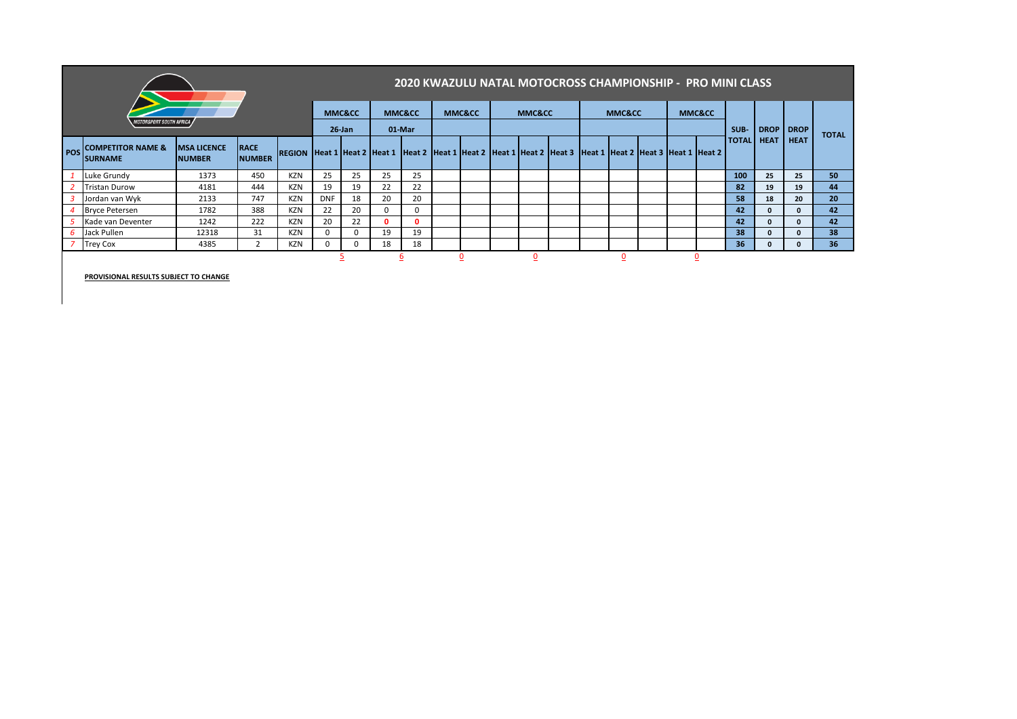|                                       |                                                |                                     |                              |                                    |            |                                |    |                                           |  |                   |  | 2020 KWAZULU NATAL MOTOCROSS CHAMPIONSHIP - PRO MINI CLASS |  |                   |  |                                    |                   |             |              |              |
|---------------------------------------|------------------------------------------------|-------------------------------------|------------------------------|------------------------------------|------------|--------------------------------|----|-------------------------------------------|--|-------------------|--|------------------------------------------------------------|--|-------------------|--|------------------------------------|-------------------|-------------|--------------|--------------|
| <i><b>MOTORSPORT SOUTH AFRICA</b></i> |                                                |                                     |                              |                                    |            | <b>MMC&amp;CC</b><br>$26$ -Jan |    | <b>MMC&amp;CC</b><br>01-Mar               |  | <b>MMC&amp;CC</b> |  | <b>MMC&amp;CC</b>                                          |  | <b>MMC&amp;CC</b> |  | <b>MMC&amp;CC</b>                  | SUB-              | <b>DROP</b> | <b>DROP</b>  | <b>TOTAL</b> |
| <b>POS</b>                            | <b>COMPETITOR NAME &amp;</b><br><b>SURNAME</b> | <b>MSA LICENCE</b><br><b>NUMBER</b> | <b>RACE</b><br><b>NUMBER</b> | <b>REGION Heat 1 Heat 2 Heat 1</b> |            |                                |    | Heat 2 Heat 1 Heat 2 Heat 1 Heat 2 Heat 3 |  |                   |  |                                                            |  |                   |  | Heat 1 Heat 2 Heat 3 Heat 1 Heat 2 | <b>TOTAL</b> HEAT |             | <b>HEAT</b>  |              |
|                                       | Luke Grundy                                    | 1373                                | 450                          | <b>KZN</b>                         | 25         | 25                             | 25 | 25                                        |  |                   |  |                                                            |  |                   |  |                                    | 100               | 25          | 25           | 50           |
|                                       | <b>Tristan Durow</b>                           | 4181                                | 444                          | <b>KZN</b>                         | 19         | 19                             | 22 | 22                                        |  |                   |  |                                                            |  |                   |  |                                    | 82                | 19          | 19           | 44           |
|                                       | Jordan van Wyk                                 | 2133                                | 747                          | <b>KZN</b>                         | <b>DNF</b> | 18                             | 20 | 20                                        |  |                   |  |                                                            |  |                   |  |                                    | 58                | 18          | 20           | 20           |
|                                       | <b>Bryce Petersen</b>                          | 1782                                | 388                          | <b>KZN</b>                         | 22         | 20                             |    | 0                                         |  |                   |  |                                                            |  |                   |  |                                    | 42                | 0           | $\mathbf{0}$ | 42           |
|                                       | Kade van Deventer                              | 1242                                | 222                          | <b>KZN</b>                         | 20         | 22                             | o  | o                                         |  |                   |  |                                                            |  |                   |  |                                    | 42                |             | 0            | 42           |
|                                       | Jack Pullen                                    | 12318                               | 31                           | <b>KZN</b>                         | 0          |                                | 19 | 19                                        |  |                   |  |                                                            |  |                   |  |                                    | 38                |             | $\Omega$     | 38           |
|                                       | <b>Trey Cox</b>                                | 4385                                | $\overline{2}$               | <b>KZN</b>                         |            |                                | 18 | 18                                        |  |                   |  |                                                            |  |                   |  |                                    | 36                |             | $\Omega$     | 36           |
|                                       |                                                |                                     |                              | <u>כ</u>                           |            | ₫                              |    | υ                                         |  | υ                 |  |                                                            |  | $\overline{0}$    |  |                                    |                   |             |              |              |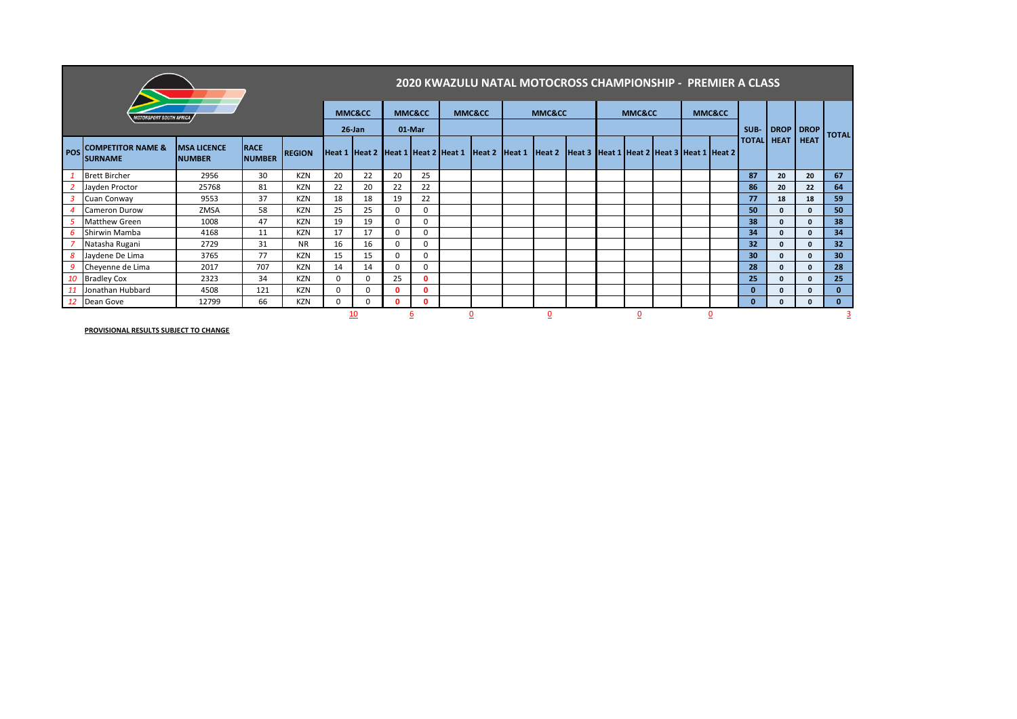|                         |                                                 |                                     |                              |               |           |                                    |          |                   |  |                   | 2020 KWAZULU NATAL MOTOCROSS CHAMPIONSHIP - PREMIER A CLASS |                                                                |  |                   |  |                   |                   |              |             |              |
|-------------------------|-------------------------------------------------|-------------------------------------|------------------------------|---------------|-----------|------------------------------------|----------|-------------------|--|-------------------|-------------------------------------------------------------|----------------------------------------------------------------|--|-------------------|--|-------------------|-------------------|--------------|-------------|--------------|
| IOTORSPORT SOUTH AFRICA |                                                 |                                     |                              |               |           | MMC&CC                             |          | <b>MMC&amp;CC</b> |  | <b>MMC&amp;CC</b> |                                                             | <b>MMC&amp;CC</b>                                              |  | <b>MMC&amp;CC</b> |  | <b>MMC&amp;CC</b> |                   |              |             |              |
|                         |                                                 |                                     |                              |               | $26$ -Jan |                                    | 01-Mar   |                   |  |                   |                                                             |                                                                |  |                   |  |                   | SUB-              | <b>DROP</b>  | <b>DROP</b> | <b>TOTAL</b> |
| POS <sup>I</sup>        | <b>COMPETITOR NAME &amp;</b><br><b>ISURNAME</b> | <b>MSA LICENCE</b><br><b>NUMBER</b> | <b>RACE</b><br><b>NUMBER</b> | <b>REGION</b> |           | Heat 1 Heat 2 Heat 1 Heat 2 Heat 1 |          |                   |  |                   |                                                             | Heat 2 Heat 1 Heat 2 Heat 3 Heat 1 Heat 2 Heat 3 Heat 1 Heat 2 |  |                   |  |                   | <b>TOTAL</b> HEAT |              | <b>HEAT</b> |              |
|                         | <b>Brett Bircher</b>                            | 2956                                | 30                           | <b>KZN</b>    | 20        | 22                                 | 20       | 25                |  |                   |                                                             |                                                                |  |                   |  |                   | 87                | 20           | 20          | 67           |
|                         | Jayden Proctor                                  | 25768                               | 81                           | <b>KZN</b>    | 22        | 20                                 | 22       | 22                |  |                   |                                                             |                                                                |  |                   |  |                   | 86                | 20           | 22          | 64           |
|                         | Cuan Conway                                     | 9553                                | 37                           | <b>KZN</b>    | 18        | 18                                 | 19       | 22                |  |                   |                                                             |                                                                |  |                   |  |                   | 77                | 18           | 18          | 59           |
|                         | <b>Cameron Durow</b>                            | ZMSA                                | 58                           | KZN           | 25        | 25                                 | $\Omega$ | 0                 |  |                   |                                                             |                                                                |  |                   |  |                   | 50                | $\mathbf{0}$ |             | 50           |
|                         | <b>Matthew Green</b>                            | 1008                                | 47                           | KZN           | 19        | 19                                 | $\Omega$ | $\mathbf 0$       |  |                   |                                                             |                                                                |  |                   |  |                   | 38                | $\mathbf{0}$ |             | 38           |
|                         | Shirwin Mamba                                   | 4168                                | 11                           | KZN           | 17        | 17                                 |          | $\mathbf 0$       |  |                   |                                                             |                                                                |  |                   |  |                   | 34                | $\mathbf{0}$ |             | 34           |
|                         | Natasha Rugani                                  | 2729                                | 31                           | <b>NR</b>     | 16        | 16                                 | $\Omega$ | 0                 |  |                   |                                                             |                                                                |  |                   |  |                   | 32                | $\mathbf{0}$ |             | 32           |
|                         | Jaydene De Lima                                 | 3765                                | 77                           | <b>KZN</b>    | 15        | 15                                 | $\Omega$ | 0                 |  |                   |                                                             |                                                                |  |                   |  |                   | 30                | $\mathbf{0}$ | n.          | 30           |
|                         | Cheyenne de Lima                                | 2017                                | 707                          | <b>KZN</b>    | 14        | 14                                 |          | $\mathbf 0$       |  |                   |                                                             |                                                                |  |                   |  |                   | 28                | $\mathbf{0}$ |             | 28           |
| 10                      | <b>Bradley Cox</b>                              | 2323                                | 34                           | KZN           | $\Omega$  | 0                                  | 25       | $\mathbf{0}$      |  |                   |                                                             |                                                                |  |                   |  |                   | 25                | $\mathbf{0}$ |             | 25           |
|                         | Jonathan Hubbard                                | 4508                                | 121                          | KZN           | $\Omega$  | 0                                  |          | $\mathbf{0}$      |  |                   |                                                             |                                                                |  |                   |  |                   | 0                 | $\mathbf{0}$ | n           | $\mathbf{0}$ |
|                         | Dean Gove                                       | 12799                               | 66                           | KZN           | $\Omega$  | O                                  |          | $\mathbf{0}$      |  |                   |                                                             |                                                                |  |                   |  |                   | O                 | $\mathbf{0}$ |             | $\mathbf{0}$ |
|                         |                                                 |                                     |                              | <u> 10</u>    |           |                                    |          |                   |  | $\overline{0}$    |                                                             | 0                                                              |  | <u>0</u>          |  |                   |                   |              |             |              |